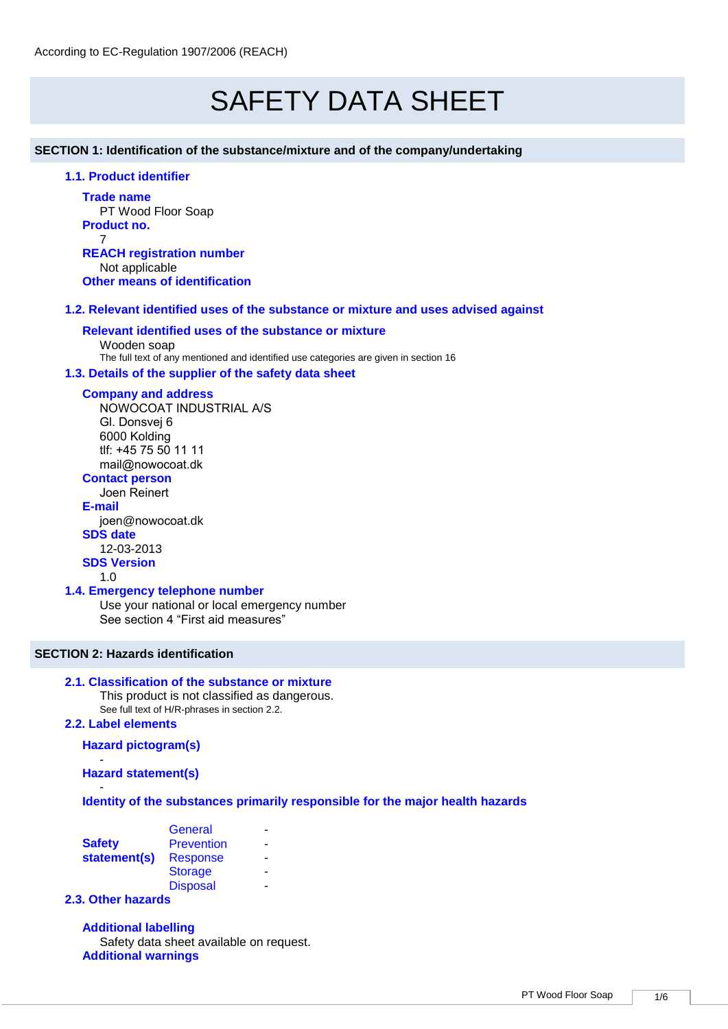# SAFETY DATA SHEET

**SECTION 1: Identification of the substance/mixture and of the company/undertaking** 

**1.1. Product identifier** 

**Trade name** PT Wood Floor Soap **Product no.** 7

**REACH registration number** Not applicable **Other means of identification**

#### **1.2. Relevant identified uses of the substance or mixture and uses advised against**

#### **Relevant identified uses of the substance or mixture**

Wooden soap The full text of any mentioned and identified use categories are given in section 16

#### **1.3. Details of the supplier of the safety data sheet**

#### **Company and address**

NOWOCOAT INDUSTRIAL A/S Gl. Donsvej 6 6000 Kolding tlf: +45 75 50 11 11 mail@nowocoat.dk

# **Contact person**

Joen Reinert **E-mail** joen@nowocoat.dk **SDS date**  12-03-2013 **SDS Version**

1.0

#### **1.4. Emergency telephone number**

Use your national or local emergency number See section 4 "First aid measures"

## **SECTION 2: Hazards identification**

#### **2.1. Classification of the substance or mixture**

This product is not classified as dangerous. See full text of H/R-phrases in section 2.2.

#### **2.2. Label elements**

**Hazard pictogram(s)**

- **Hazard statement(s)**

- **Identity of the substances primarily responsible for the major health hazards**

|               | General           |   |
|---------------|-------------------|---|
| <b>Safety</b> | <b>Prevention</b> | - |
| statement(s)  | <b>Response</b>   | - |
|               | <b>Storage</b>    |   |
|               | <b>Disposal</b>   |   |

#### **2.3. Other hazards**

**Additional labelling** Safety data sheet available on request. **Additional warnings**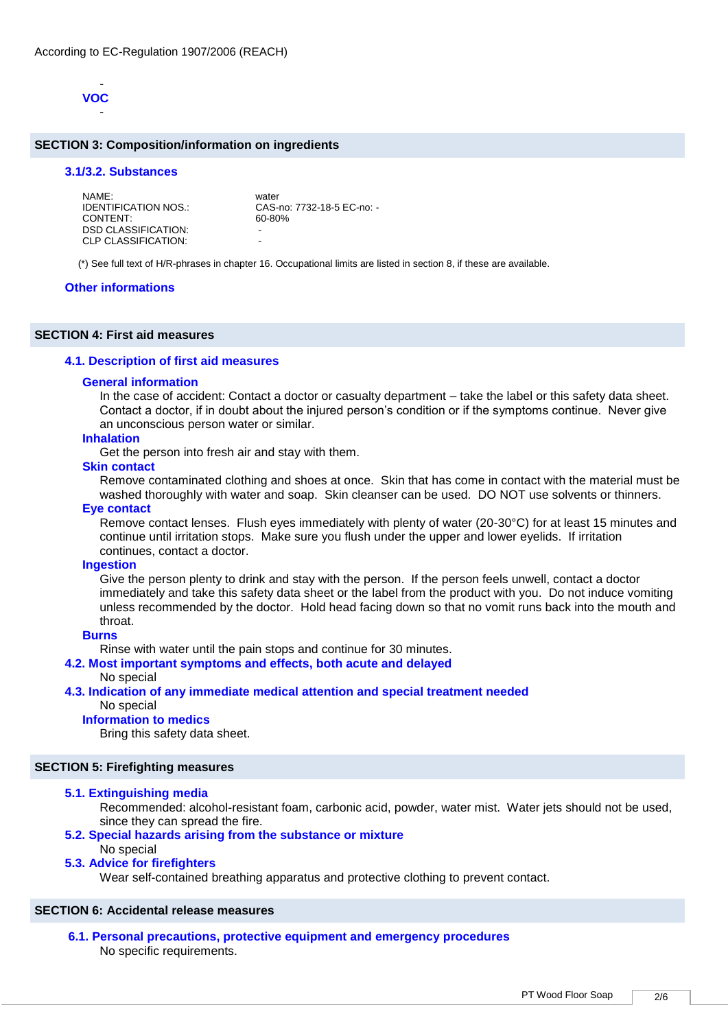

#### **SECTION 3: Composition/information on ingredients**

#### **3.1/3.2. Substances**

| NAMF:                | water                      |
|----------------------|----------------------------|
| IDENTIFICATION NOS.: | CAS-no: 7732-18-5 EC-no: - |
| CONTENT:             | 60-80%                     |
| DSD CLASSIFICATION:  | -                          |
| CLP CLASSIFICATION:  | -                          |

(\*) See full text of H/R-phrases in chapter 16. Occupational limits are listed in section 8, if these are available.

#### **Other informations**

#### **SECTION 4: First aid measures**

#### **4.1. Description of first aid measures**

#### **General information**

In the case of accident: Contact a doctor or casualty department – take the label or this safety data sheet. Contact a doctor, if in doubt about the injured person's condition or if the symptoms continue. Never give an unconscious person water or similar.

#### **Inhalation**

Get the person into fresh air and stay with them.

#### **Skin contact**

Remove contaminated clothing and shoes at once. Skin that has come in contact with the material must be washed thoroughly with water and soap. Skin cleanser can be used. DO NOT use solvents or thinners.

#### **Eye contact**

Remove contact lenses. Flush eyes immediately with plenty of water (20-30°C) for at least 15 minutes and continue until irritation stops. Make sure you flush under the upper and lower eyelids. If irritation continues, contact a doctor.

#### **Ingestion**

Give the person plenty to drink and stay with the person. If the person feels unwell, contact a doctor immediately and take this safety data sheet or the label from the product with you. Do not induce vomiting unless recommended by the doctor. Hold head facing down so that no vomit runs back into the mouth and throat.

#### **Burns**

Rinse with water until the pain stops and continue for 30 minutes.

#### **4.2. Most important symptoms and effects, both acute and delayed**

#### No special

# **4.3. Indication of any immediate medical attention and special treatment needed**

# No special

# **Information to medics**

Bring this safety data sheet.

#### **SECTION 5: Firefighting measures**

#### **5.1. Extinguishing media**

Recommended: alcohol-resistant foam, carbonic acid, powder, water mist. Water jets should not be used, since they can spread the fire.

#### **5.2. Special hazards arising from the substance or mixture**

#### No special

#### **5.3. Advice for firefighters**

Wear self-contained breathing apparatus and protective clothing to prevent contact.

#### **SECTION 6: Accidental release measures**

**6.1. Personal precautions, protective equipment and emergency procedures**  No specific requirements.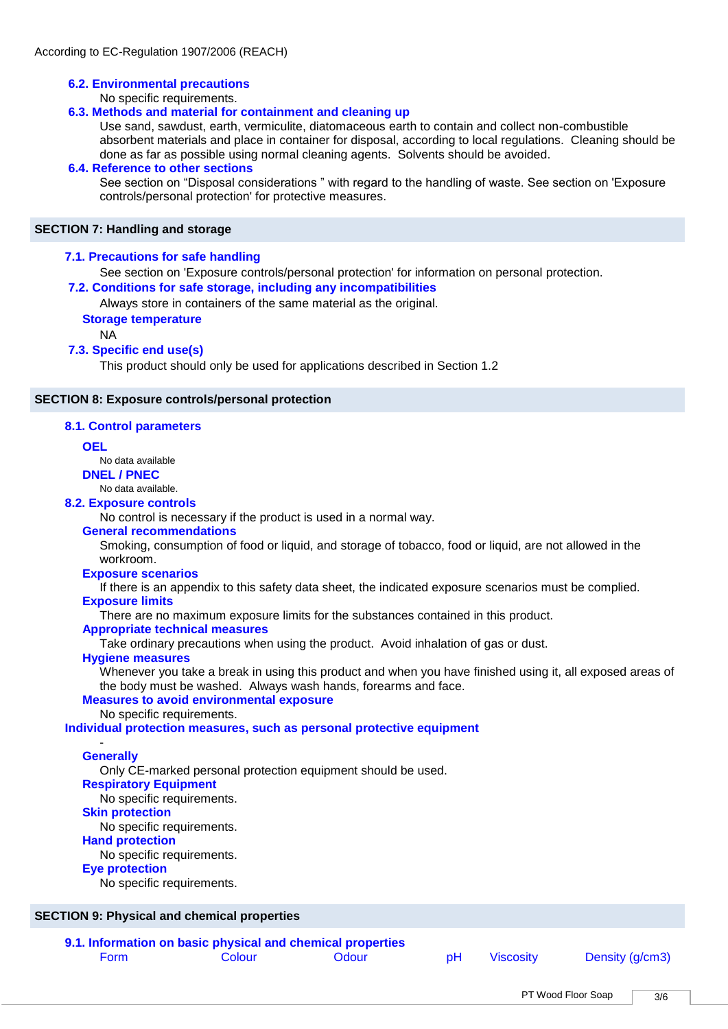#### **6.2. Environmental precautions**

No specific requirements.

#### **6.3. Methods and material for containment and cleaning up**

Use sand, sawdust, earth, vermiculite, diatomaceous earth to contain and collect non-combustible absorbent materials and place in container for disposal, according to local regulations. Cleaning should be done as far as possible using normal cleaning agents. Solvents should be avoided.

#### **6.4. Reference to other sections**

See section on "Disposal considerations " with regard to the handling of waste. See section on 'Exposure controls/personal protection' for protective measures.

#### **SECTION 7: Handling and storage**

#### **7.1. Precautions for safe handling**

See section on 'Exposure controls/personal protection' for information on personal protection.

#### **7.2. Conditions for safe storage, including any incompatibilities**

Always store in containers of the same material as the original.

**Storage temperature**

NA

#### **7.3. Specific end use(s)**

This product should only be used for applications described in Section 1.2

#### **SECTION 8: Exposure controls/personal protection**

#### **8.1. Control parameters**

#### **OEL**

No data available

# **DNEL / PNEC**

No data available.

# **8.2. Exposure controls**

No control is necessary if the product is used in a normal way.

#### **General recommendations**

Smoking, consumption of food or liquid, and storage of tobacco, food or liquid, are not allowed in the workroom.

#### **Exposure scenarios**

If there is an appendix to this safety data sheet, the indicated exposure scenarios must be complied. **Exposure limits**

There are no maximum exposure limits for the substances contained in this product.

#### **Appropriate technical measures**

Take ordinary precautions when using the product. Avoid inhalation of gas or dust.

#### **Hygiene measures**

Whenever you take a break in using this product and when you have finished using it, all exposed areas of the body must be washed. Always wash hands, forearms and face.

#### **Measures to avoid environmental exposure**

No specific requirements.

**Individual protection measures, such as personal protective equipment**

#### - **Generally**

Only CE-marked personal protection equipment should be used.

# **Respiratory Equipment**

No specific requirements.

### **Skin protection**

No specific requirements.

# **Hand protection**

No specific requirements.

#### **Eye protection**

No specific requirements.

#### **SECTION 9: Physical and chemical properties**

**9.1. Information on basic physical and chemical properties**  Form Colour Colour Odour pH Viscosity Density (g/cm3)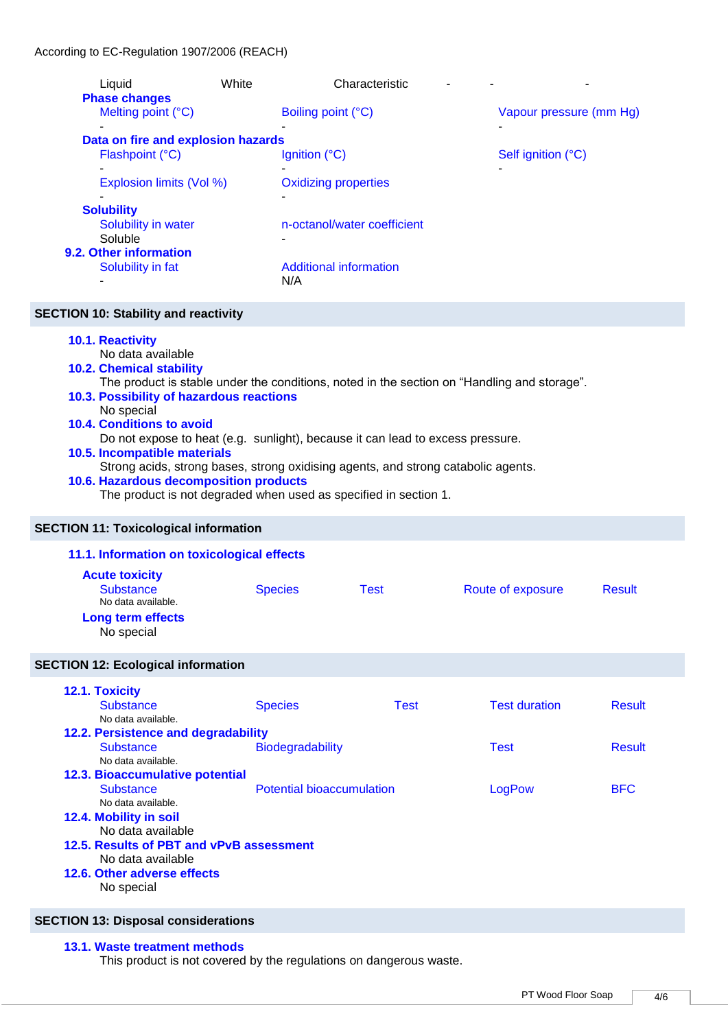| Liquid                             | White | Characteristic                |                         |
|------------------------------------|-------|-------------------------------|-------------------------|
| <b>Phase changes</b>               |       |                               |                         |
| Melting point (°C)                 |       | Boiling point (°C)            | Vapour pressure (mm Hg) |
| ۰                                  |       |                               | ۰                       |
| Data on fire and explosion hazards |       |                               |                         |
| Flashpoint (°C)                    |       | Ignition (°C)                 | Self ignition (°C)      |
|                                    |       |                               | ۰                       |
| Explosion limits (Vol %)           |       | <b>Oxidizing properties</b>   |                         |
|                                    |       |                               |                         |
| <b>Solubility</b>                  |       |                               |                         |
| Solubility in water                |       | n-octanol/water coefficient   |                         |
| Soluble                            |       |                               |                         |
| 9.2. Other information             |       |                               |                         |
| Solubility in fat                  |       | <b>Additional information</b> |                         |
|                                    |       | N/A                           |                         |

## **SECTION 10: Stability and reactivity**

#### **10.1. Reactivity**

No data available

**10.2. Chemical stability** 

The product is stable under the conditions, noted in the section on "Handling and storage".

# **10.3. Possibility of hazardous reactions**

No special

**10.4. Conditions to avoid** 

Do not expose to heat (e.g. sunlight), because it can lead to excess pressure.

# **10.5. Incompatible materials**

Strong acids, strong bases, strong oxidising agents, and strong catabolic agents.

# **10.6. Hazardous decomposition products**

The product is not degraded when used as specified in section 1.

#### **SECTION 11: Toxicological information**

# **11.1. Information on toxicological effects**

| <b>Acute toxicity</b>           |                |      |                   |               |
|---------------------------------|----------------|------|-------------------|---------------|
| Substance<br>No data available. | <b>Species</b> | Test | Route of exposure | <b>Result</b> |
| Long term effects<br>No special |                |      |                   |               |

#### **SECTION 12: Ecological information**

| 12.1. Toxicity<br><b>Substance</b>       | <b>Species</b>                   | Test | <b>Test duration</b> | <b>Result</b> |  |  |
|------------------------------------------|----------------------------------|------|----------------------|---------------|--|--|
| No data available.                       |                                  |      |                      |               |  |  |
| 12.2. Persistence and degradability      |                                  |      |                      |               |  |  |
| <b>Substance</b>                         | <b>Biodegradability</b>          |      |                      | <b>Result</b> |  |  |
| No data available.                       |                                  |      |                      |               |  |  |
| <b>12.3. Bioaccumulative potential</b>   |                                  |      |                      |               |  |  |
| <b>Substance</b>                         | <b>Potential bioaccumulation</b> |      | LogPow               | <b>BFC</b>    |  |  |
| No data available.                       |                                  |      |                      |               |  |  |
| 12.4. Mobility in soil                   |                                  |      |                      |               |  |  |
| No data available                        |                                  |      |                      |               |  |  |
| 12.5. Results of PBT and vPvB assessment |                                  |      |                      |               |  |  |
| No data available                        |                                  |      |                      |               |  |  |
| 12.6. Other adverse effects              |                                  |      |                      |               |  |  |
| No special                               |                                  |      |                      |               |  |  |

# **SECTION 13: Disposal considerations**

# **13.1. Waste treatment methods**

This product is not covered by the regulations on dangerous waste.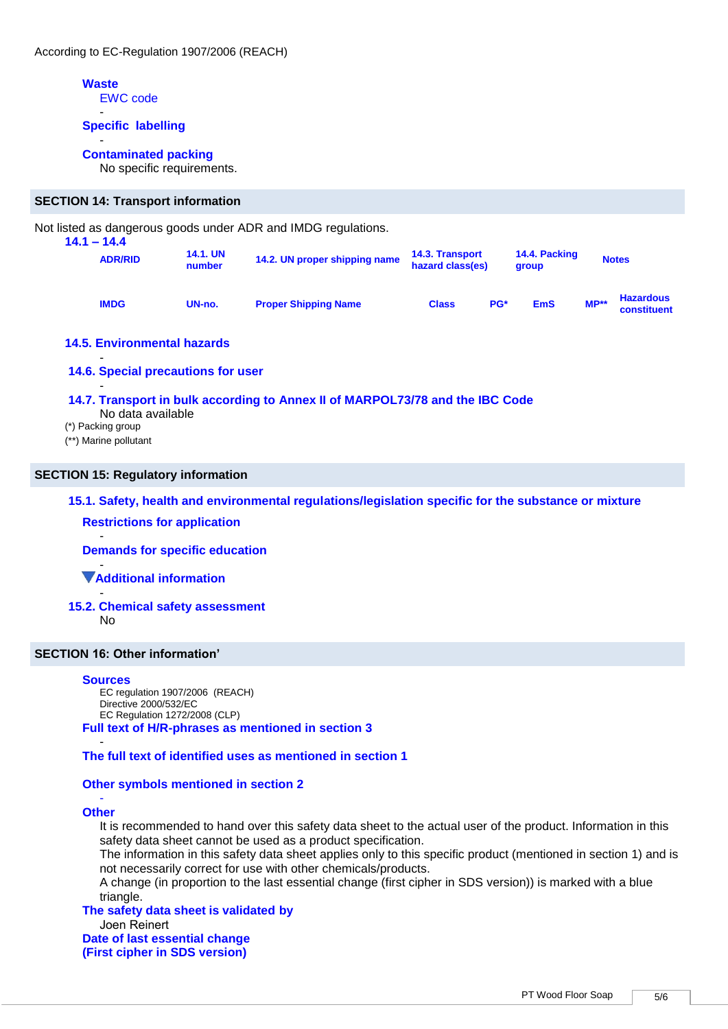# **Waste**

EWC code -

#### **Specific labelling**

#### - **Contaminated packing**

No specific requirements.

#### **SECTION 14: Transport information**

Not listed as dangerous goods under ADR and IMDG regulations.

| $14.1 - 14.4$<br><b>ADR/RID</b> | <b>14.1. UN</b><br>number | 14.2. UN proper shipping name | <b>14.3. Transport</b><br>hazard class(es) |            | 14.4. Packing<br>group |        | <b>Notes</b>                    |
|---------------------------------|---------------------------|-------------------------------|--------------------------------------------|------------|------------------------|--------|---------------------------------|
| <b>IMDG</b>                     | UN-no.                    | <b>Proper Shipping Name</b>   | <b>Class</b>                               | <b>PG*</b> | <b>EmS</b>             | $MP**$ | <b>Hazardous</b><br>constituent |

#### **14.5. Environmental hazards**

**14.6. Special precautions for user** 

#### - **14.7. Transport in bulk according to Annex II of MARPOL73/78 and the IBC Code**

- No data available
- (\*) Packing group

-

(\*\*) Marine pollutant

# **SECTION 15: Regulatory information**

**15.1. Safety, health and environmental regulations/legislation specific for the substance or mixture Restrictions for application**

- **Demands for specific education**

- **Additional information**

- **15.2. Chemical safety assessment** 

No

#### **SECTION 16: Other information'**

#### **Sources**

EC regulation 1907/2006 (REACH) Directive 2000/532/EC EC Regulation 1272/2008 (CLP) **Full text of H/R-phrases as mentioned in section 3**

- **The full text of identified uses as mentioned in section 1**

#### **Other symbols mentioned in section 2**

#### - **Other**

It is recommended to hand over this safety data sheet to the actual user of the product. Information in this safety data sheet cannot be used as a product specification.

The information in this safety data sheet applies only to this specific product (mentioned in section 1) and is not necessarily correct for use with other chemicals/products.

A change (in proportion to the last essential change (first cipher in SDS version)) is marked with a blue triangle.

**The safety data sheet is validated by**  Joen Reinert

**Date of last essential change (First cipher in SDS version)**